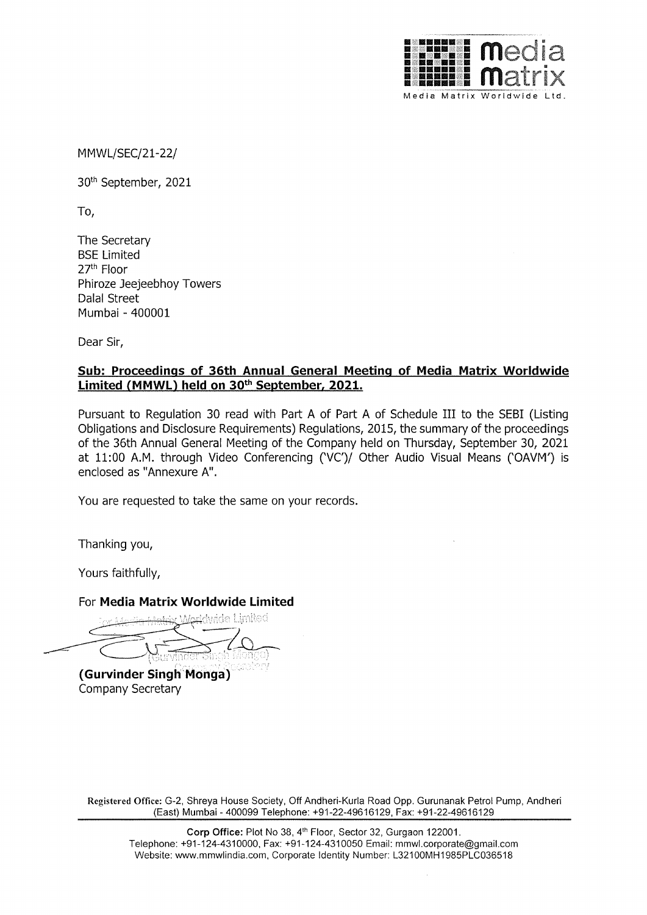

MMWL/SEC/21-22/

30th September, 2021

To,

The Secretary BSE Limited 27th Floor Phiroze Jeejeebhoy Towers Dalal Street Mumbai - 400001

Dear Sir,

## **Sub: Proceedings of 36th Annual General Meeting of Media Matrix Worldwide Limited {MMWL) held on 30th September, 2021.**

Pursuant to Regulation 30 read with Part A of Part A of Schedule III to the SEBI (Listing Obligations and Disclosure Requirements) Regulations, 2015, the summary of the proceedings of the 36th Annual General Meeting of the Company held on Thursday, September 30, 2021 at 11:00 A.M. through Video Conferencing ('VC')/ Other Audio Visual Means ('OAVM') is enclosed as "Annexure A".

You are requested to take the same on your records.

Thanking you,

Yours faithfully,

## For **Media Matrix Worldwide Limited**

. '.,,,'., ,, I\ *t,-·,* , .. ', r.' ,; ,-'.,-:-,, <sup>~</sup> '' ·,,., - ( ' ~-~ -.~ *t* ··\'.: l •

**(Gurvinder Singh Monga)**  Company Secretary

**Registered Office:** G-2, Shreya House Society, Off Andheri-Kurla Road Opp. Gurunanak Petrol Pump, Andheri (East) Mumbai - 400099 Telephone: +91-22-49616129, Fax: +91-22-49616129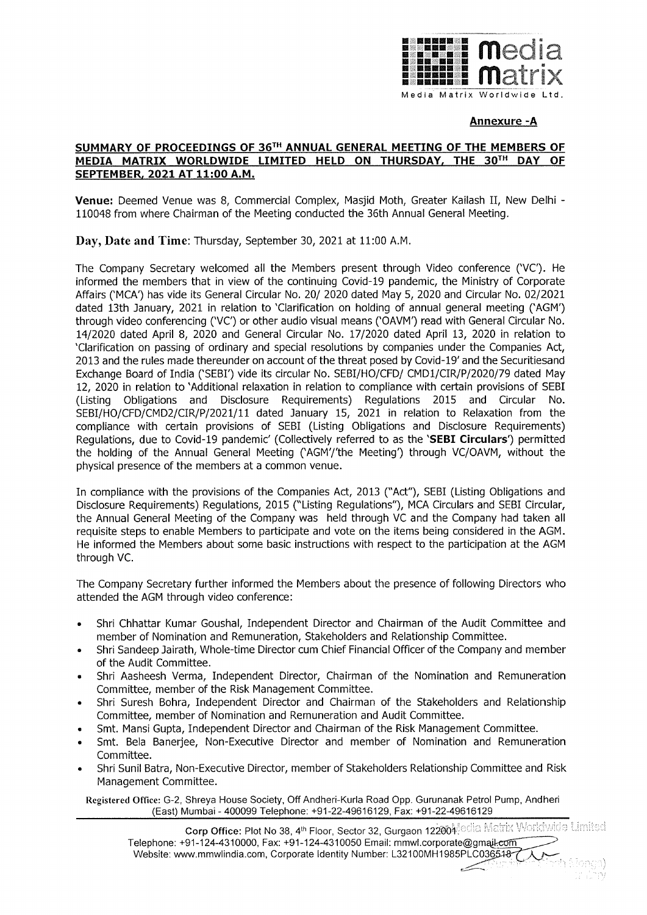

## **Annexure -A**

## **SUMMARY OF PROCEEDINGS OF 36TH ANNUAL GENERAL MEETING OF THE MEMBERS OF MEDIA MATRIX WORLDWIDE LIMITED HELD ON THURSDAY, THE 30TH DAY OF SEPTEMBER, 2021 AT 11:00 A.M.**

**Venue:** Deemed Venue was 8, Commercial Complex, Masjid Moth, Greater Kailash II, New Delhi - 110048 from where Chairman of the Meeting conducted the 36th Annual General Meeting.

**Day, Date and Time:** Thursday, September 30, 2021 at 11:00 A.M.

The Company Secretary welcomed all the Members present through Video conference ('VC'). He informed the members that in view of the continuing Covid-19 pandemic, the Ministry of Corporate Affairs ('MCA') has vide its General Circular No. 20/ 2020 dated May 5, 2020 and Circular No. 02/2021 dated 13th January, 2021 in relation to 'Clarification on holding of annual general meeting ('AGM') through video conferencing ('VC') or other audio visual means ('OAVM') read with General Circular No. 14/2020 dated April 8, 2020 and General Circular No. 17/2020 dated April 13, 2020 in relation to 'Clarification on passing of ordinary and special resolutions by companies under the Companies Act, 2013 and the rules made thereunder on account of the threat posed by Covid-19' and the Securitiesand Exchange Board of India ('SEBI') vide its circular No. SEBI/HO/CFD/ CMDl/CIR/P/2020/79 dated May 12, 2020 in relation to 'Additional relaxation in relation to compliance with certain provisions of SEBI (Listing Obligations and Disclosure Requirements) Regulations 2015 and Circular No. SEBI/HO/CFD/CMD2/CIR/P/2021/11 dated January 15, 2021 in relation to Relaxation from the compliance with certain provisions of SEBI (Listing Obligations and Disclosure Requirements) Regulations, due to Covid-19 pandemic' (Collectively referred to as the **'SEBI Circulars')** permitted the holding of the Annual General Meeting ('AGM'/'the Meeting') through VC/OAVM, without the physical presence of the members at a common venue.

In compliance with the provisions of the Companies Act, 2013 ("Act"), SEBI (Listing Obligations and Disclosure Requirements) Regulations, 2015 ("Listing Regulations"), MCA Circulars and SEBI Circular, the Annual General Meeting of the Company was held through VC and the Company had taken all requisite steps to enable Members to participate and vote on the items being considered in the AGM. He informed the Members about some basic instructions with respect to the participation at the AGM through VC.

The Company Secretary further informed the Members about the presence of following Directors who attended the AGM through video conference:

- Shri Chhattar Kumar Goushal, Independent Director and Chairman of the Audit Committee and member of Nomination and Remuneration, Stakeholders and Relationship Committee.
- Shri Sandeep Jairath, Whole-time Director cum Chief Financial Officer of the Company and member of the Audit Committee.
- Shri Aasheesh Verma, Independent Director, Chairman of the Nomination and Remuneration Committee, member of the Risk Management Committee.
- Shri Suresh Bohra, Independent Director and Chairman of the Stakeholders and Relationship Committee, member of Nomination and Remuneration and Audit Committee.
- Smt. Mansi Gupta, Independent Director and Chairman of the Risk Management Committee.
- Smt. Bela Banerjee, Non-Executive Director and member of Nomination and Remuneration Committee.
- Shri Sunil Batra, Non-Executive Director, member of Stakeholders Relationship Committee and Risk Management Committee.

**Registered Office:** G-2, Shreya House Society, Off Andheri-Kurla Road Opp. Gurunanak Petrol Pump, Andheri (East) Mumbai - 400099 Telephone: +91-22-49616129, Fax: +91-22-49616129

in)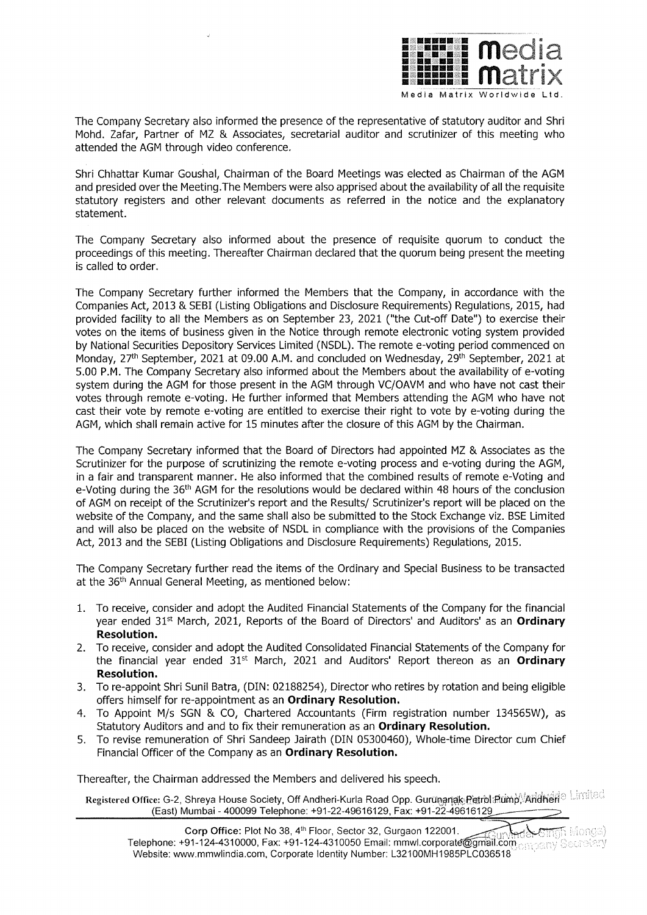

The Company Secretary also informed the presence of the representative of statutory auditor and Shri Mohd. Zafar, Partner of MZ & Associates, secretarial auditor and scrutinizer of this meeting who attended the AGM through video conference.

Shri Chhattar Kumar Goushal, Chairman of the Board Meetings was elected as Chairman of the AGM and presided over the Meeting.The Members were also apprised about the availability of all the requisite statutory registers and other relevant documents as referred in the notice and the explanatory statement.

The Company Secretary also informed about the presence of requisite quorum to conduct the proceedings of this meeting. Thereafter Chairman declared that the quorum being present the meeting is called to order.

The Company Secretary further informed the Members that the Company, in accordance with the Companies Act, 2013 & SEBI (Listing Obligations and Disclosure Requirements) Regulations, 2015, had provided facility to all the Members as on September 23, 2021 ("the Cut-off Date") to exercise their votes on the items of business given in the Notice through remote electronic voting system provided by National Securities Depository Services Limited (NSDL). The remote e-voting period commenced on Monday, 27<sup>th</sup> September, 2021 at 09.00 A.M. and concluded on Wednesday, 29<sup>th</sup> September, 2021 at 5.00 P.M. The Company Secretary also informed about the Members about the availability of e-voting system during the AGM for those present in the AGM through VC/OAVM and who have not cast their votes through remote e-voting. He further informed that Members attending the AGM who have not cast their vote by remote e-voting are entitled to exercise their right to vote by e-voting during the AGM, which shall remain active for 15 minutes after the closure of this AGM by the Chairman.

The Company Secretary informed that the Board of Directors had appointed MZ & Associates as the Scrutinizer for the purpose of scrutinizing the remote e-voting process and e-voting during the AGM, in a fair and transparent manner. He also informed that the combined results of remote e-Voting and e-Voting during the 36<sup>th</sup> AGM for the resolutions would be declared within 48 hours of the conclusion of AGM on receipt of the Scrutinizer's report and the Results/ Scrutinizer's report will be placed on the website of the Company, and the same shall also be submitted to the Stock Exchange viz. BSE Limited and will also be placed on the website of NSDL in compliance with the provisions of the Companies Act, 2013 and the SEBI (Listing Obligations and Disclosure Requirements) Regulations, 2015.

The Company Secretary further read the items of the Ordinary and Special Business to be transacted at the 36<sup>th</sup> Annual General Meeting, as mentioned below:

- 1. To receive, consider and adopt the Audited Financial Statements of the Company for the financial year ended 31st March, 2021, Reports of the Board of Directors' and Auditors' as an **Ordinary Resolution.**
- 2. To receive, consider and adopt the Audited Consolidated Financial Statements of the Company for the financial year ended 31st March, 2021 and Auditors' Report thereon as an **Ordinary Resolution.**
- 3. To re-appoint Shri Sunil Batra, (DIN: 02188254), Director who retires by rotation and being eligible offers himself for re-appointment as an **Ordinary Resolution.**
- 4. To Appoint M/s SGN & CO, Chartered Accountants (Firm registration number 134565W), as Statutory Auditors and and to fix their remuneration as an **Ordinary Resolution.**
- 5. To revise remuneration of Shri Sandeep Jairath (DIN 05300460), Whole-time Director cum Chief Financial Officer of the Company as an **Ordinary Resolution.**

Thereafter, the Chairman addressed the Members and delivered his speech.

il Pegistered Office: G-2, Shreya House Society, Off Andheri-Kurla Road Opp. Gur<del>unanak Petrol</del>atimp,∜Andheri<sup>a اس</sup><br>(East) Mumbai - 400099 Telephone: +91-22-49616129, Fax: +91-22-49616129

**Corp Office:** Plot No 38, **4th** Floor, Sector 32, Gurgaon 122001. \_,/:;;It·/:·,,,~ Telephone: +91-124-4310000, Fax: +91-124-4310050 Email: mmwl.corporate@gmail.com . , , , ,  $\lesssim$ Website: www.mmwlindia.com, Corporate Identity Number: L32100MH1985PLC036518 ·